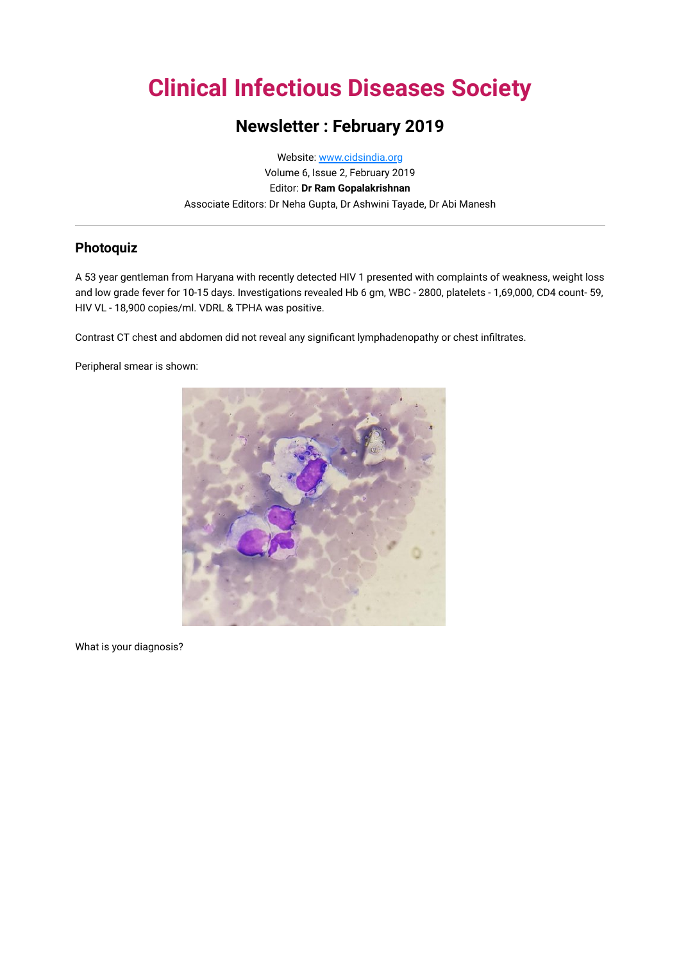# **Clinical Infectious Diseases Society**

## **Newsletter : February 2019**

Website: [www.cidsindia.org](http://www.cidsindia.org/) Volume 6, Issue 2, February 2019 Editor: **Dr Ram Gopalakrishnan** Associate Editors: Dr Neha Gupta, Dr Ashwini Tayade, Dr Abi Manesh

## **Photoquiz**

A 53 year gentleman from Haryana with recently detected HIV 1 presented with complaints of weakness, weight loss and low grade fever for 10-15 days. Investigations revealed Hb 6 gm, WBC - 2800, platelets - 1,69,000, CD4 count- 59, HIV VL - 18,900 copies/ml. VDRL & TPHA was positive.

Contrast CT chest and abdomen did not reveal any significant lymphadenopathy or chest infiltrates.

Peripheral smear is shown:



What is your diagnosis?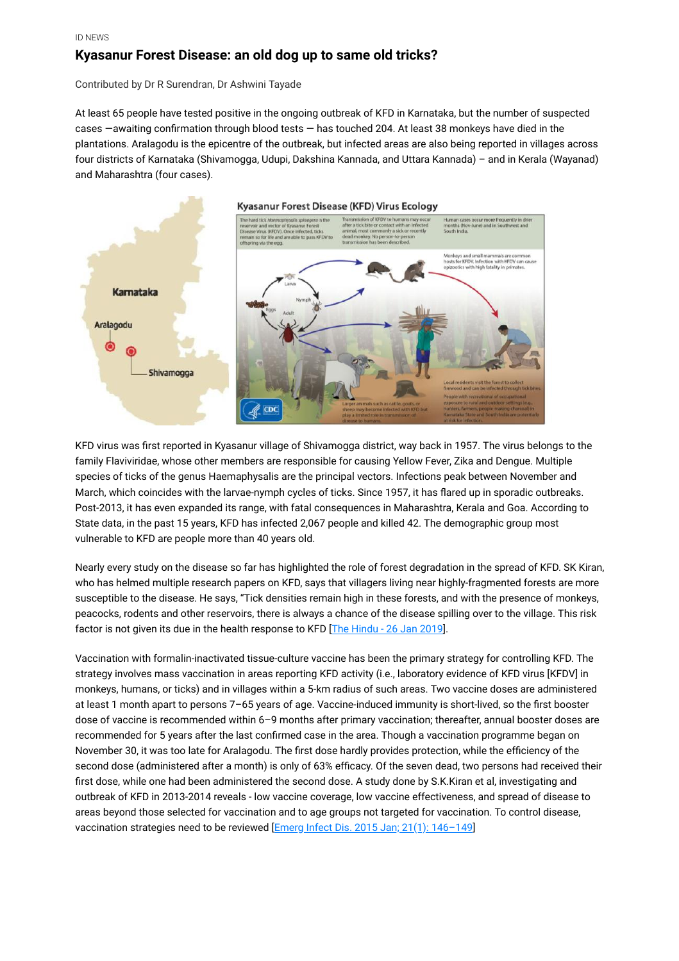## **Kyasanur Forest Disease: an old dog up to same old tricks?**

Contributed by Dr R Surendran, Dr Ashwini Tayade

At least 65 people have tested positive in the ongoing outbreak of KFD in Karnataka, but the number of suspected cases —awaiting confirmation through blood tests — has touched 204. At least 38 monkeys have died in the plantations. Aralagodu is the epicentre of the outbreak, but infected areas are also being reported in villages across four districts of Karnataka (Shivamogga, Udupi, Dakshina Kannada, and Uttara Kannada) – and in Kerala (Wayanad) and Maharashtra (four cases).



KFD virus was first reported in Kyasanur village of Shivamogga district, way back in 1957. The virus belongs to the family Flaviviridae, whose other members are responsible for causing Yellow Fever, Zika and Dengue. Multiple species of ticks of the genus Haemaphysalis are the principal vectors. Infections peak between November and March, which coincides with the larvae-nymph cycles of ticks. Since 1957, it has flared up in sporadic outbreaks. Post-2013, it has even expanded its range, with fatal consequences in Maharashtra, Kerala and Goa. According to State data, in the past 15 years, KFD has infected 2,067 people and killed 42. The demographic group most vulnerable to KFD are people more than 40 years old.

Nearly every study on the disease so far has highlighted the role of forest degradation in the spread of KFD. SK Kiran, who has helmed multiple research papers on KFD, says that villagers living near highly-fragmented forests are more susceptible to the disease. He says, "Tick densities remain high in these forests, and with the presence of monkeys, peacocks, rodents and other reservoirs, there is always a chance of the disease spilling over to the village. This risk factor is not given its due in the health response to KFD [[The Hindu - 26 Jan 2019](https://www.thehindu.com/news/national/karnataka/kyasanurs-ticking-time-bomb/article26093497.ece)].

Vaccination with formalin-inactivated tissue-culture vaccine has been the primary strategy for controlling KFD. The strategy involves mass vaccination in areas reporting KFD activity (i.e., laboratory evidence of KFD virus [KFDV] in monkeys, humans, or ticks) and in villages within a 5-km radius of such areas. Two vaccine doses are administered at least 1 month apart to persons 7–65 years of age. Vaccine-induced immunity is short-lived, so the first booster dose of vaccine is recommended within 6–9 months after primary vaccination; thereafter, annual booster doses are recommended for 5 years after the last confirmed case in the area. Though a vaccination programme began on November 30, it was too late for Aralagodu. The first dose hardly provides protection, while the efficiency of the second dose (administered after a month) is only of 63% efficacy. Of the seven dead, two persons had received their first dose, while one had been administered the second dose. A study done by S.K.Kiran et al, investigating and outbreak of KFD in 2013-2014 reveals - low vaccine coverage, low vaccine effectiveness, and spread of disease to areas beyond those selected for vaccination and to age groups not targeted for vaccination. To control disease, vaccination strategies need to be reviewed [Emerg Infect Dis. 2015 Jan; 21(1): 146-149]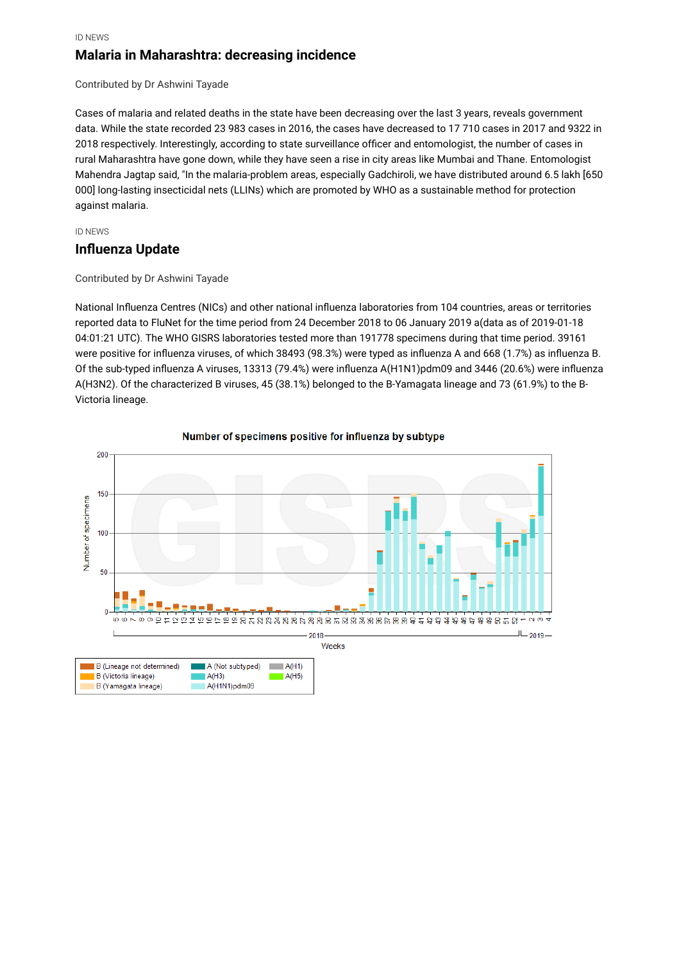ID NEWS

### **Malaria in Maharashtra: decreasing incidence**

Contributed by Dr Ashwini Tayade

Cases of malaria and related deaths in the state have been decreasing over the last 3 years, reveals government data. While the state recorded 23 983 cases in 2016, the cases have decreased to 17 710 cases in 2017 and 9322 in 2018 respectively. Interestingly, according to state surveillance officer and entomologist, the number of cases in rural Maharashtra have gone down, while they have seen a rise in city areas like Mumbai and Thane. Entomologist Mahendra Jagtap said, "In the malaria-problem areas, especially Gadchiroli, we have distributed around 6.5 lakh [650 000] long-lasting insecticidal nets (LLINs) which are promoted by WHO as a sustainable method for protection against malaria.

#### ID NEWS

#### **Influenza Update**

#### Contributed by Dr Ashwini Tayade

National Influenza Centres (NICs) and other national influenza laboratories from 104 countries, areas or territories reported data to FluNet for the time period from 24 December 2018 to 06 January 2019 a(data as of 2019-01-18 04:01:21 UTC). The WHO GISRS laboratories tested more than 191778 specimens during that time period. 39161 were positive for influenza viruses, of which 38493 (98.3%) were typed as influenza A and 668 (1.7%) as influenza B. Of the sub-typed influenza A viruses, 13313 (79.4%) were influenza A(H1N1)pdm09 and 3446 (20.6%) were influenza A(H3N2). Of the characterized B viruses, 45 (38.1%) belonged to the B-Yamagata lineage and 73 (61.9%) to the B-Victoria lineage.



#### Number of specimens positive for influenza by subtype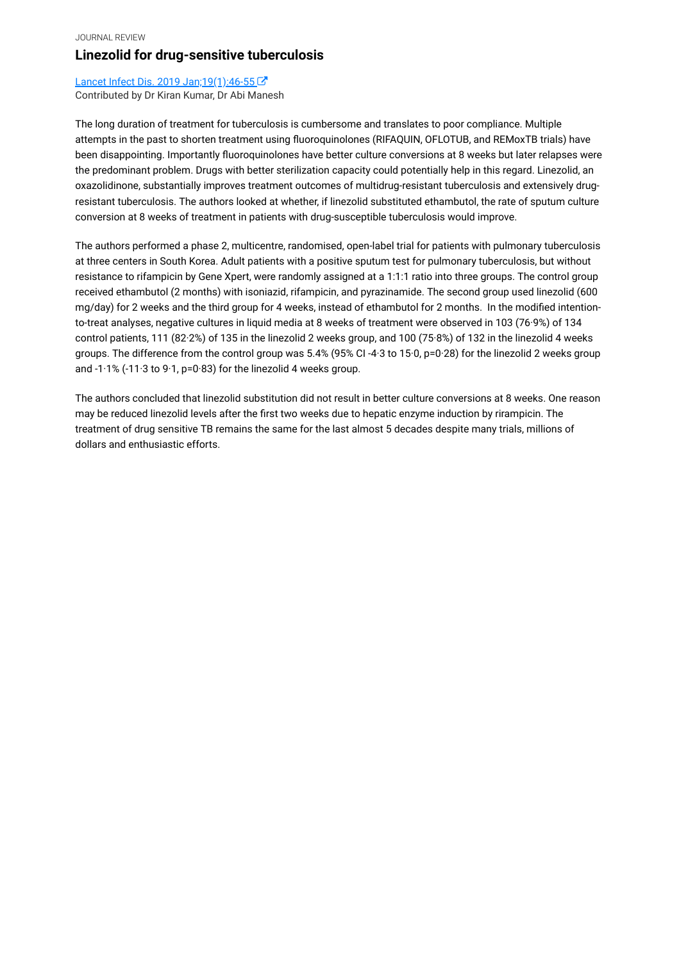#### JOURNAL REVIEW **Linezolid for drug-sensitive tuberculosis**

Lancet Infect Dis. 2019 Jan; 19(1): 46-55 Contributed by Dr Kiran Kumar, Dr Abi Manesh

The long duration of treatment for tuberculosis is cumbersome and translates to poor compliance. Multiple attempts in the past to shorten treatment using fluoroquinolones (RIFAQUIN, OFLOTUB, and REMoxTB trials) have been disappointing. Importantly fluoroquinolones have better culture conversions at 8 weeks but later relapses were the predominant problem. Drugs with better sterilization capacity could potentially help in this regard. Linezolid, an oxazolidinone, substantially improves treatment outcomes of multidrug-resistant tuberculosis and extensively drugresistant tuberculosis. The authors looked at whether, if linezolid substituted ethambutol, the rate of sputum culture conversion at 8 weeks of treatment in patients with drug-susceptible tuberculosis would improve.

The authors performed a phase 2, multicentre, randomised, open-label trial for patients with pulmonary tuberculosis at three centers in South Korea. Adult patients with a positive sputum test for pulmonary tuberculosis, but without resistance to rifampicin by Gene Xpert, were randomly assigned at a 1:1:1 ratio into three groups. The control group received ethambutol (2 months) with isoniazid, rifampicin, and pyrazinamide. The second group used linezolid (600 mg/day) for 2 weeks and the third group for 4 weeks, instead of ethambutol for 2 months. In the modified intentionto-treat analyses, negative cultures in liquid media at 8 weeks of treatment were observed in 103 (76·9%) of 134 control patients, 111 (82·2%) of 135 in the linezolid 2 weeks group, and 100 (75·8%) of 132 in the linezolid 4 weeks groups. The difference from the control group was 5.4% (95% CI -4·3 to 15·0, p=0·28) for the linezolid 2 weeks group and -1·1% (-11·3 to 9·1, p=0·83) for the linezolid 4 weeks group.

The authors concluded that linezolid substitution did not result in better culture conversions at 8 weeks. One reason may be reduced linezolid levels after the first two weeks due to hepatic enzyme induction by rirampicin. The treatment of drug sensitive TB remains the same for the last almost 5 decades despite many trials, millions of dollars and enthusiastic efforts.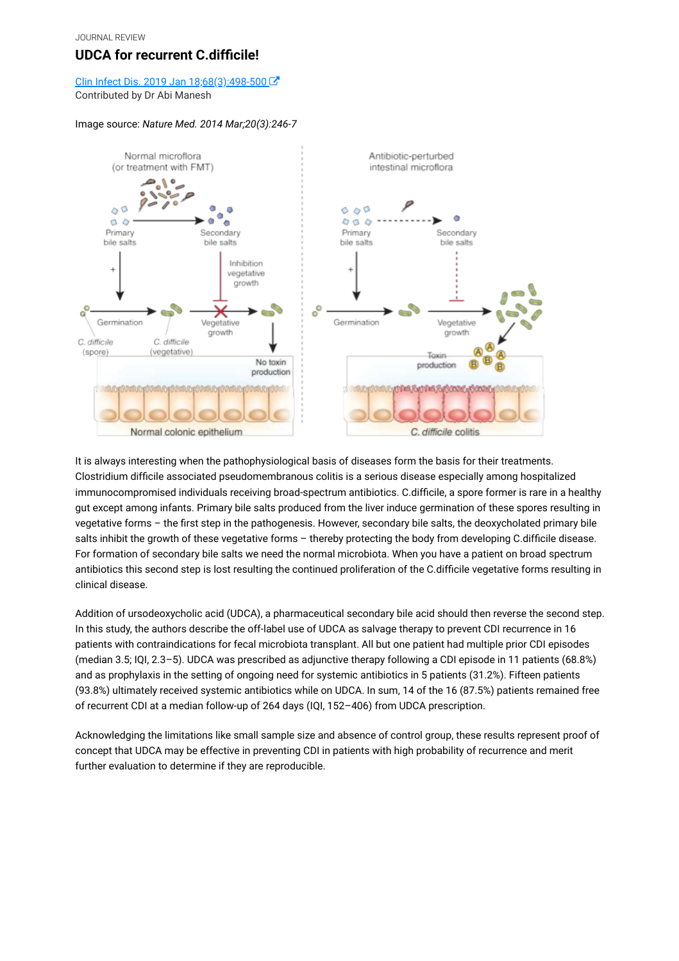## **UDCA for recurrent C.difficile!**

#### Clin Infect Dis. 2019 Jan 18;68(3):498-500 Contributed by Dr Abi Manesh

#### Image source: *Nature Med. 2014 Mar;20(3):246-7*



It is always interesting when the pathophysiological basis of diseases form the basis for their treatments. Clostridium difficile associated pseudomembranous colitis is a serious disease especially among hospitalized immunocompromised individuals receiving broad-spectrum antibiotics. C.difficile, a spore former is rare in a healthy gut except among infants. Primary bile salts produced from the liver induce germination of these spores resulting in vegetative forms – the first step in the pathogenesis. However, secondary bile salts, the deoxycholated primary bile salts inhibit the growth of these vegetative forms - thereby protecting the body from developing C.difficile disease. For formation of secondary bile salts we need the normal microbiota. When you have a patient on broad spectrum antibiotics this second step is lost resulting the continued proliferation of the C.difficile vegetative forms resulting in clinical disease.

Addition of ursodeoxycholic acid (UDCA), a pharmaceutical secondary bile acid should then reverse the second step. In this study, the authors describe the off-label use of UDCA as salvage therapy to prevent CDI recurrence in 16 patients with contraindications for fecal microbiota transplant. All but one patient had multiple prior CDI episodes (median 3.5; IQI, 2.3–5). UDCA was prescribed as adjunctive therapy following a CDI episode in 11 patients (68.8%) and as prophylaxis in the setting of ongoing need for systemic antibiotics in 5 patients (31.2%). Fifteen patients (93.8%) ultimately received systemic antibiotics while on UDCA. In sum, 14 of the 16 (87.5%) patients remained free of recurrent CDI at a median follow-up of 264 days (IQI, 152–406) from UDCA prescription.

Acknowledging the limitations like small sample size and absence of control group, these results represent proof of concept that UDCA may be effective in preventing CDI in patients with high probability of recurrence and merit further evaluation to determine if they are reproducible.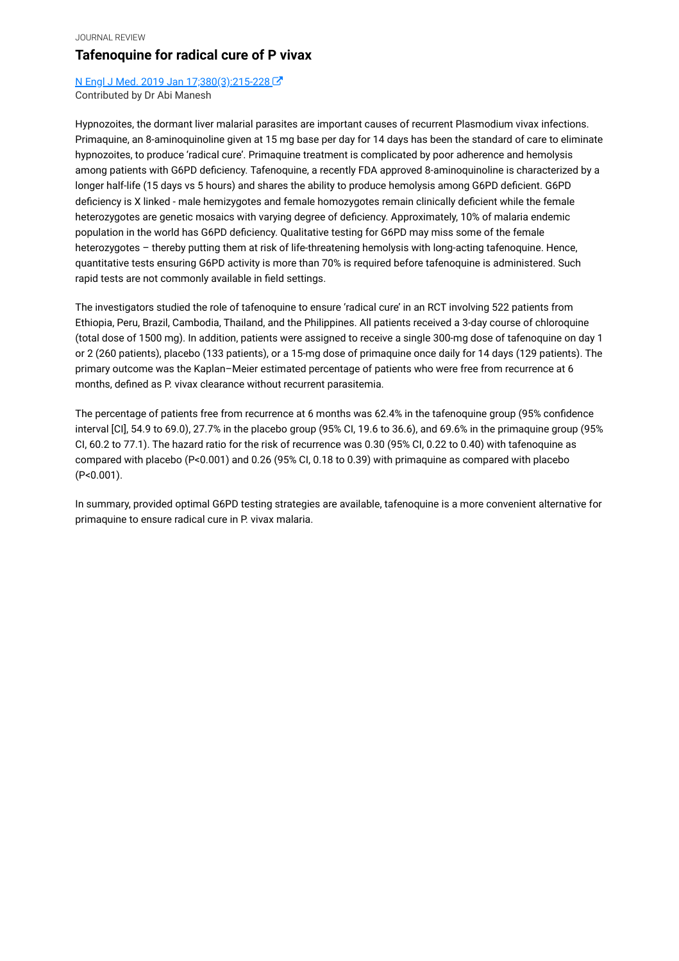#### **Tafenoquine for radical cure of P vivax**

[N Engl J Med. 2019 Jan 17;380\(3\):215-228](https://www.ncbi.nlm.nih.gov/pubmed/30650322)  Contributed by Dr Abi Manesh

Hypnozoites, the dormant liver malarial parasites are important causes of recurrent Plasmodium vivax infections. Primaquine, an 8-aminoquinoline given at 15 mg base per day for 14 days has been the standard of care to eliminate hypnozoites, to produce 'radical cure'. Primaquine treatment is complicated by poor adherence and hemolysis among patients with G6PD deficiency. Tafenoquine, a recently FDA approved 8-aminoquinoline is characterized by a longer half-life (15 days vs 5 hours) and shares the ability to produce hemolysis among G6PD deficient. G6PD deficiency is X linked - male hemizygotes and female homozygotes remain clinically deficient while the female heterozygotes are genetic mosaics with varying degree of deficiency. Approximately, 10% of malaria endemic population in the world has G6PD deficiency. Qualitative testing for G6PD may miss some of the female heterozygotes – thereby putting them at risk of life-threatening hemolysis with long-acting tafenoquine. Hence, quantitative tests ensuring G6PD activity is more than 70% is required before tafenoquine is administered. Such rapid tests are not commonly available in field settings.

The investigators studied the role of tafenoquine to ensure 'radical cure' in an RCT involving 522 patients from Ethiopia, Peru, Brazil, Cambodia, Thailand, and the Philippines. All patients received a 3-day course of chloroquine (total dose of 1500 mg). In addition, patients were assigned to receive a single 300-mg dose of tafenoquine on day 1 or 2 (260 patients), placebo (133 patients), or a 15-mg dose of primaquine once daily for 14 days (129 patients). The primary outcome was the Kaplan–Meier estimated percentage of patients who were free from recurrence at 6 months, defined as P. vivax clearance without recurrent parasitemia.

The percentage of patients free from recurrence at 6 months was 62.4% in the tafenoquine group (95% confidence interval [CI], 54.9 to 69.0), 27.7% in the placebo group (95% CI, 19.6 to 36.6), and 69.6% in the primaquine group (95% CI, 60.2 to 77.1). The hazard ratio for the risk of recurrence was 0.30 (95% CI, 0.22 to 0.40) with tafenoquine as compared with placebo (P<0.001) and 0.26 (95% CI, 0.18 to 0.39) with primaquine as compared with placebo (P<0.001).

In summary, provided optimal G6PD testing strategies are available, tafenoquine is a more convenient alternative for primaquine to ensure radical cure in P. vivax malaria.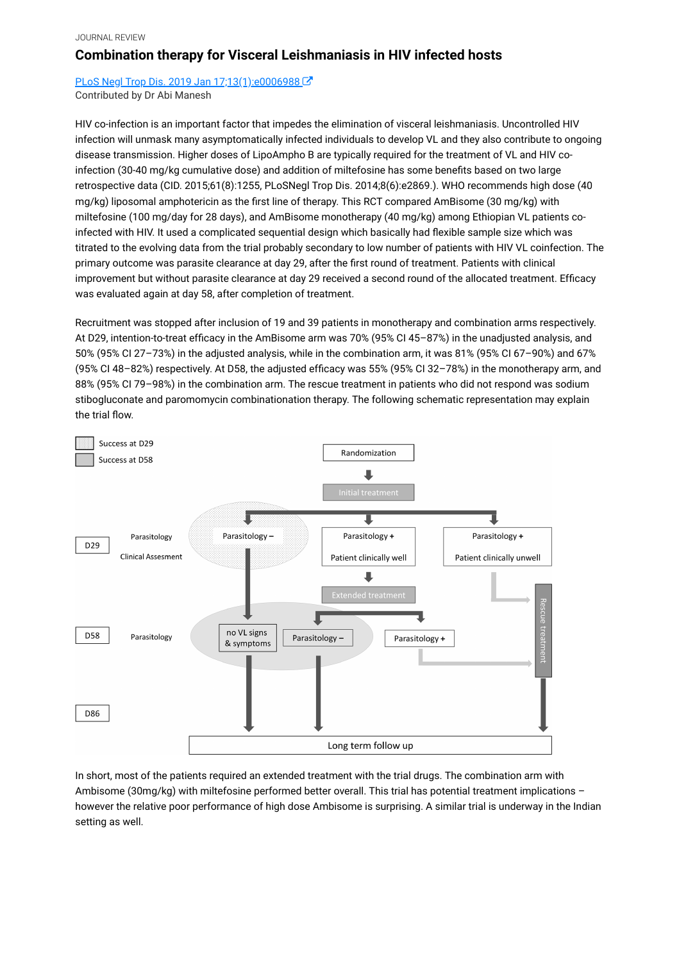## **Combination therapy for Visceral Leishmaniasis in HIV infected hosts**

PLoS Negl Trop Dis. 2019 Jan 17;13(1):e0006988 Contributed by Dr Abi Manesh

HIV co-infection is an important factor that impedes the elimination of visceral leishmaniasis. Uncontrolled HIV infection will unmask many asymptomatically infected individuals to develop VL and they also contribute to ongoing disease transmission. Higher doses of LipoAmpho B are typically required for the treatment of VL and HIV coinfection (30-40 mg/kg cumulative dose) and addition of miltefosine has some benefits based on two large retrospective data (CID. 2015;61(8):1255, PLoSNegl Trop Dis. 2014;8(6):e2869.). WHO recommends high dose (40 mg/kg) liposomal amphotericin as the first line of therapy. This RCT compared AmBisome (30 mg/kg) with miltefosine (100 mg/day for 28 days), and AmBisome monotherapy (40 mg/kg) among Ethiopian VL patients coinfected with HIV. It used a complicated sequential design which basically had flexible sample size which was titrated to the evolving data from the trial probably secondary to low number of patients with HIV VL coinfection. The primary outcome was parasite clearance at day 29, after the first round of treatment. Patients with clinical improvement but without parasite clearance at day 29 received a second round of the allocated treatment. Efficacy was evaluated again at day 58, after completion of treatment.

Recruitment was stopped after inclusion of 19 and 39 patients in monotherapy and combination arms respectively. At D29, intention-to-treat efficacy in the AmBisome arm was 70% (95% CI 45–87%) in the unadjusted analysis, and 50% (95% CI 27–73%) in the adjusted analysis, while in the combination arm, it was 81% (95% CI 67–90%) and 67% (95% CI 48–82%) respectively. At D58, the adjusted efficacy was 55% (95% CI 32–78%) in the monotherapy arm, and 88% (95% CI 79–98%) in the combination arm. The rescue treatment in patients who did not respond was sodium stibogluconate and paromomycin combinationation therapy. The following schematic representation may explain the trial flow.



In short, most of the patients required an extended treatment with the trial drugs. The combination arm with Ambisome (30mg/kg) with miltefosine performed better overall. This trial has potential treatment implications – however the relative poor performance of high dose Ambisome is surprising. A similar trial is underway in the Indian setting as well.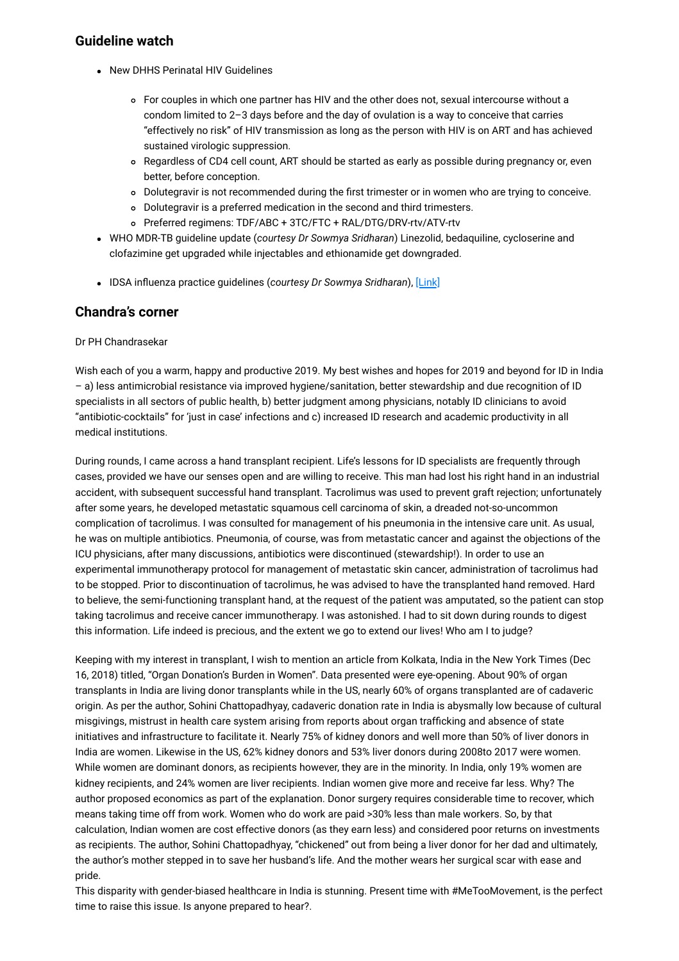#### **Guideline watch**

- New DHHS Perinatal HIV Guidelines
	- For couples in which one partner has HIV and the other does not, sexual intercourse without a condom limited to 2–3 days before and the day of ovulation is a way to conceive that carries "effectively no risk" of HIV transmission as long as the person with HIV is on ART and has achieved sustained virologic suppression.
	- Regardless of CD4 cell count, ART should be started as early as possible during pregnancy or, even better, before conception.
	- Dolutegravir is not recommended during the first trimester or in women who are trying to conceive.
	- Dolutegravir is a preferred medication in the second and third trimesters.
	- Preferred regimens: TDF/ABC + 3TC/FTC + RAL/DTG/DRV-rtv/ATV-rtv
- WHO MDR-TB guideline update (*courtesy Dr Sowmya Sridharan*) Linezolid, bedaquiline, cycloserine and clofazimine get upgraded while injectables and ethionamide get downgraded.
- IDSA influenza practice guidelines (courtesy Dr Sowmya Sridharan), [\[Link\]](https://doi.org/10.1093/cid/ciy866)

### **Chandra's corner**

#### Dr PH Chandrasekar

Wish each of you a warm, happy and productive 2019. My best wishes and hopes for 2019 and beyond for ID in India – a) less antimicrobial resistance via improved hygiene/sanitation, better stewardship and due recognition of ID specialists in all sectors of public health, b) better judgment among physicians, notably ID clinicians to avoid "antibiotic-cocktails" for 'just in case' infections and c) increased ID research and academic productivity in all medical institutions.

During rounds, I came across a hand transplant recipient. Life's lessons for ID specialists are frequently through cases, provided we have our senses open and are willing to receive. This man had lost his right hand in an industrial accident, with subsequent successful hand transplant. Tacrolimus was used to prevent graft rejection; unfortunately after some years, he developed metastatic squamous cell carcinoma of skin, a dreaded not-so-uncommon complication of tacrolimus. I was consulted for management of his pneumonia in the intensive care unit. As usual, he was on multiple antibiotics. Pneumonia, of course, was from metastatic cancer and against the objections of the ICU physicians, after many discussions, antibiotics were discontinued (stewardship!). In order to use an experimental immunotherapy protocol for management of metastatic skin cancer, administration of tacrolimus had to be stopped. Prior to discontinuation of tacrolimus, he was advised to have the transplanted hand removed. Hard to believe, the semi-functioning transplant hand, at the request of the patient was amputated, so the patient can stop taking tacrolimus and receive cancer immunotherapy. I was astonished. I had to sit down during rounds to digest this information. Life indeed is precious, and the extent we go to extend our lives! Who am I to judge?

Keeping with my interest in transplant, I wish to mention an article from Kolkata, India in the New York Times (Dec 16, 2018) titled, "Organ Donation's Burden in Women". Data presented were eye-opening. About 90% of organ transplants in India are living donor transplants while in the US, nearly 60% of organs transplanted are of cadaveric origin. As per the author, Sohini Chattopadhyay, cadaveric donation rate in India is abysmally low because of cultural misgivings, mistrust in health care system arising from reports about organ trafficking and absence of state initiatives and infrastructure to facilitate it. Nearly 75% of kidney donors and well more than 50% of liver donors in India are women. Likewise in the US, 62% kidney donors and 53% liver donors during 2008to 2017 were women. While women are dominant donors, as recipients however, they are in the minority. In India, only 19% women are kidney recipients, and 24% women are liver recipients. Indian women give more and receive far less. Why? The author proposed economics as part of the explanation. Donor surgery requires considerable time to recover, which means taking time off from work. Women who do work are paid >30% less than male workers. So, by that calculation, Indian women are cost effective donors (as they earn less) and considered poor returns on investments as recipients. The author, Sohini Chattopadhyay, "chickened" out from being a liver donor for her dad and ultimately, the author's mother stepped in to save her husband's life. And the mother wears her surgical scar with ease and pride.

This disparity with gender-biased healthcare in India is stunning. Present time with #MeTooMovement, is the perfect time to raise this issue. Is anyone prepared to hear?.